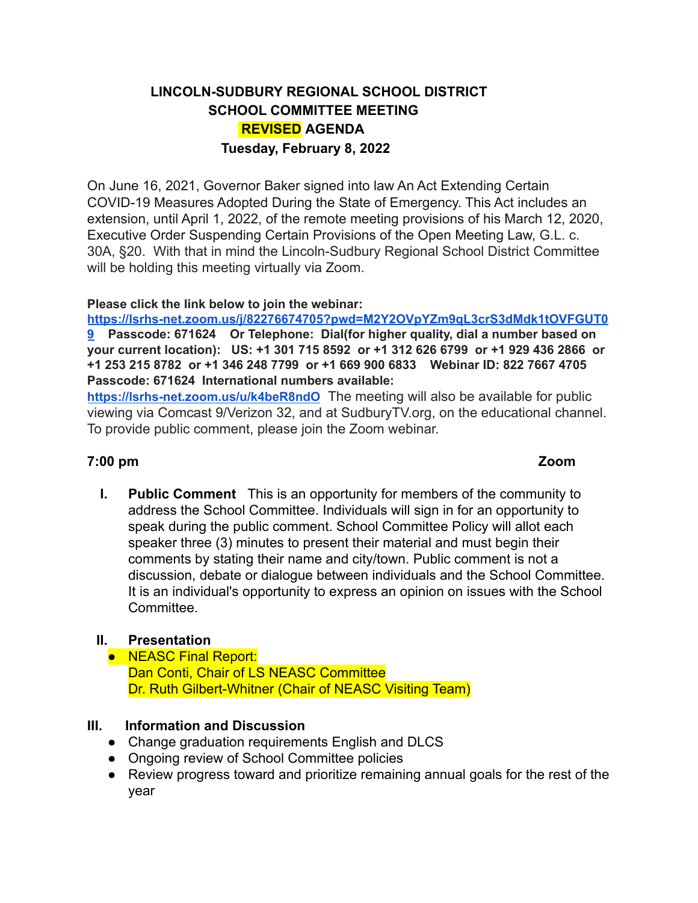# **LINCOLN-SUDBURY REGIONAL SCHOOL DISTRICT SCHOOL COMMITTEE MEETING REVISED AGENDA Tuesday, February 8, 2022**

On June 16, 2021, Governor Baker signed into law An Act Extending Certain COVID-19 Measures Adopted During the State of Emergency. This Act includes an extension, until April 1, 2022, of the remote meeting provisions of his March 12, 2020, Executive Order Suspending Certain Provisions of the Open Meeting Law, G.L. c. 30A, §20. With that in mind the Lincoln-Sudbury Regional School District Committee will be holding this meeting virtually via Zoom.

#### **Please click the link below to join the webinar:**

**[https://lsrhs-net.zoom.us/j/82276674705?pwd=M2Y2OVpYZm9qL3crS3dMdk1tOVFGUT0](https://lsrhs-net.zoom.us/j/82276674705?pwd=M2Y2OVpYZm9qL3crS3dMdk1tOVFGUT09) [9](https://lsrhs-net.zoom.us/j/82276674705?pwd=M2Y2OVpYZm9qL3crS3dMdk1tOVFGUT09) Passcode: 671624 Or Telephone: Dial(for higher quality, dial a number based on your current location): US: +1 301 715 8592 or +1 312 626 6799 or +1 929 436 2866 or +1 253 215 8782 or +1 346 248 7799 or +1 669 900 6833 Webinar ID: 822 7667 4705 Passcode: 671624 International numbers available:**

**<https://lsrhs-net.zoom.us/u/k4beR8ndO>** The meeting will also be available for public viewing via Comcast 9/Verizon 32, and at SudburyTV.org, on the educational channel. To provide public comment, please join the Zoom webinar.

#### **7:00 pm Zoom**

**I. Public Comment** This is an opportunity for members of the community to address the School Committee. Individuals will sign in for an opportunity to speak during the public comment. School Committee Policy will allot each speaker three (3) minutes to present their material and must begin their comments by stating their name and city/town. Public comment is not a discussion, debate or dialogue between individuals and the School Committee. It is an individual's opportunity to express an opinion on issues with the School **Committee.** 

## **II. Presentation**

● NEASC Final Report: Dan Conti, Chair of LS NEASC Committee Dr. Ruth Gilbert-Whitner (Chair of NEASC Visiting Team)

#### **III. Information and Discussion**

- Change graduation requirements English and DLCS
- Ongoing review of School Committee policies
- Review progress toward and prioritize remaining annual goals for the rest of the year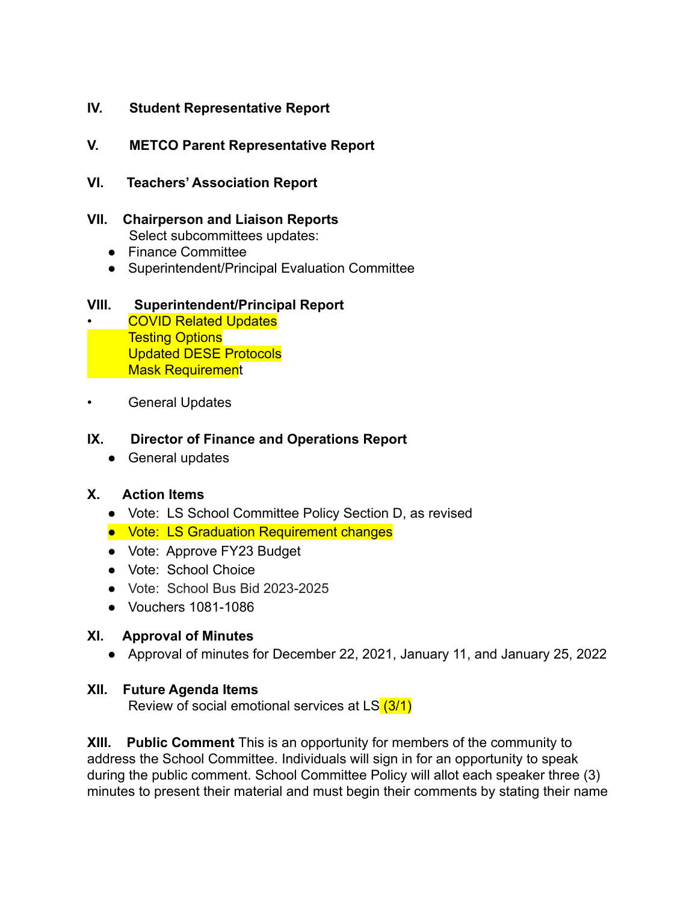## **IV. Student Representative Report**

## **V. METCO Parent Representative Report**

- **VI. Teachers' Association Report**
- **VII. Chairperson and Liaison Reports** Select subcommittees updates:
	- Finance Committee
	- Superintendent/Principal Evaluation Committee

#### **VIII. Superintendent/Principal Report**

• COVID Related Updates Testing Options Updated DESE Protocols Mask Requirement

General Updates

#### **IX. Director of Finance and Operations Report**

● General updates

### **X. Action Items**

- Vote: LS School Committee Policy Section D, as revised
- Vote: LS Graduation Requirement changes
- Vote: Approve FY23 Budget
- Vote: School Choice
- Vote: School Bus Bid 2023-2025
- Vouchers 1081-1086

#### **XI. Approval of Minutes**

● Approval of minutes for December 22, 2021, January 11, and January 25, 2022

#### **XII. Future Agenda Items**

Review of social emotional services at LS (3/1)

**XIII. Public Comment** This is an opportunity for members of the community to address the School Committee. Individuals will sign in for an opportunity to speak during the public comment. School Committee Policy will allot each speaker three (3) minutes to present their material and must begin their comments by stating their name